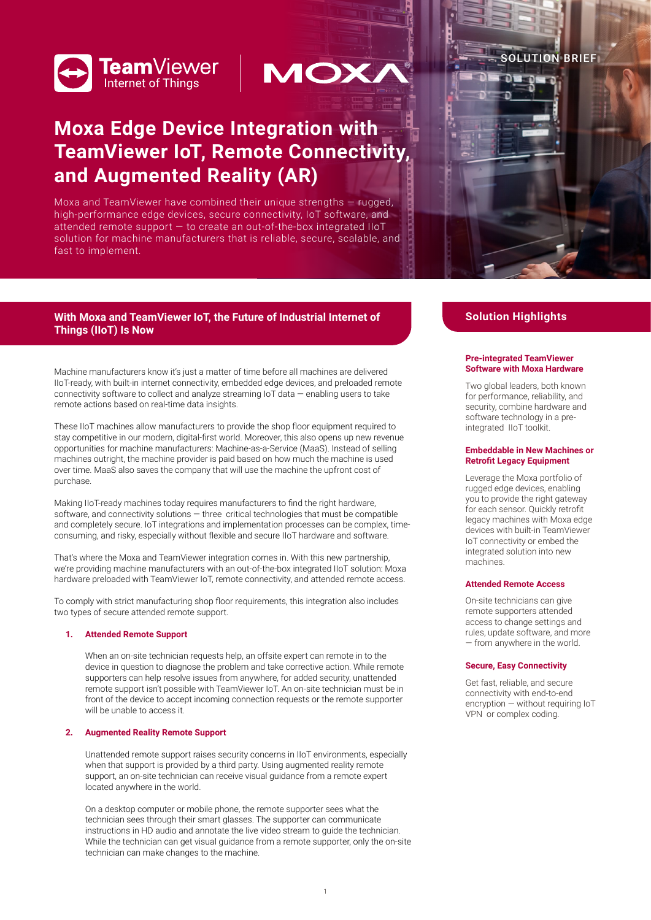



# **Moxa Edge Device Integration with TeamViewer IoT, Remote Connectivity, and Augmented Reality (AR)**

Moxa and TeamViewer have combined their unique strengths — rugged, high-performance edge devices, secure connectivity, IoT software, and attended remote support — to create an out-of-the-box integrated IIoT solution for machine manufacturers that is reliable, secure, scalable, and fast to implement.



# With Moxa and TeamViewer IoT, the Future of Industrial Internet of **Solution Highlights Things (IIoT) Is Now**

Machine manufacturers know it's just a matter of time before all machines are delivered IIoT-ready, with built-in internet connectivity, embedded edge devices, and preloaded remote connectivity software to collect and analyze streaming  $I$ o $\overline{I}$  data  $-$  enabling users to take remote actions based on real-time data insights.

These IIoT machines allow manufacturers to provide the shop floor equipment required to stay competitive in our modern, digital-first world. Moreover, this also opens up new revenue opportunities for machine manufacturers: Machine-as-a-Service (MaaS). Instead of selling machines outright, the machine provider is paid based on how much the machine is used over time. MaaS also saves the company that will use the machine the upfront cost of purchase.

Making IIoT-ready machines today requires manufacturers to find the right hardware, software, and connectivity solutions — three critical technologies that must be compatible and completely secure. IoT integrations and implementation processes can be complex, timeconsuming, and risky, especially without flexible and secure IIoT hardware and software.

That's where the Moxa and TeamViewer integration comes in. With this new partnership, we're providing machine manufacturers with an out-of-the-box integrated IIoT solution: Moxa hardware preloaded with TeamViewer IoT, remote connectivity, and attended remote access.

To comply with strict manufacturing shop floor requirements, this integration also includes two types of secure attended remote support.

# **1. Attended Remote Support**

When an on-site technician requests help, an offsite expert can remote in to the device in question to diagnose the problem and take corrective action. While remote supporters can help resolve issues from anywhere, for added security, unattended remote support isn't possible with TeamViewer IoT. An on-site technician must be in front of the device to accept incoming connection requests or the remote supporter will be unable to access it.

# **2. Augmented Reality Remote Support**

Unattended remote support raises security concerns in IIoT environments, especially when that support is provided by a third party. Using augmented reality remote support, an on-site technician can receive visual guidance from a remote expert located anywhere in the world.

On a desktop computer or mobile phone, the remote supporter sees what the technician sees through their smart glasses. The supporter can communicate instructions in HD audio and annotate the live video stream to guide the technician. While the technician can get visual guidance from a remote supporter, only the on-site technician can make changes to the machine.

#### **Pre-integrated TeamViewer Software with Moxa Hardware**

Two global leaders, both known for performance, reliability, and security, combine hardware and software technology in a preintegrated IIoT toolkit.

## **Embeddable in New Machines or Retrofit Legacy Equipment**

Leverage the Moxa portfolio of rugged edge devices, enabling you to provide the right gateway for each sensor. Quickly retrofit legacy machines with Moxa edge devices with built-in TeamViewer IoT connectivity or embed the integrated solution into new machines.

# **Attended Remote Access**

On-site technicians can give remote supporters attended access to change settings and rules, update software, and more — from anywhere in the world.

# **Secure, Easy Connectivity**

Get fast, reliable, and secure connectivity with end-to-end encryption — without requiring IoT VPN or complex coding.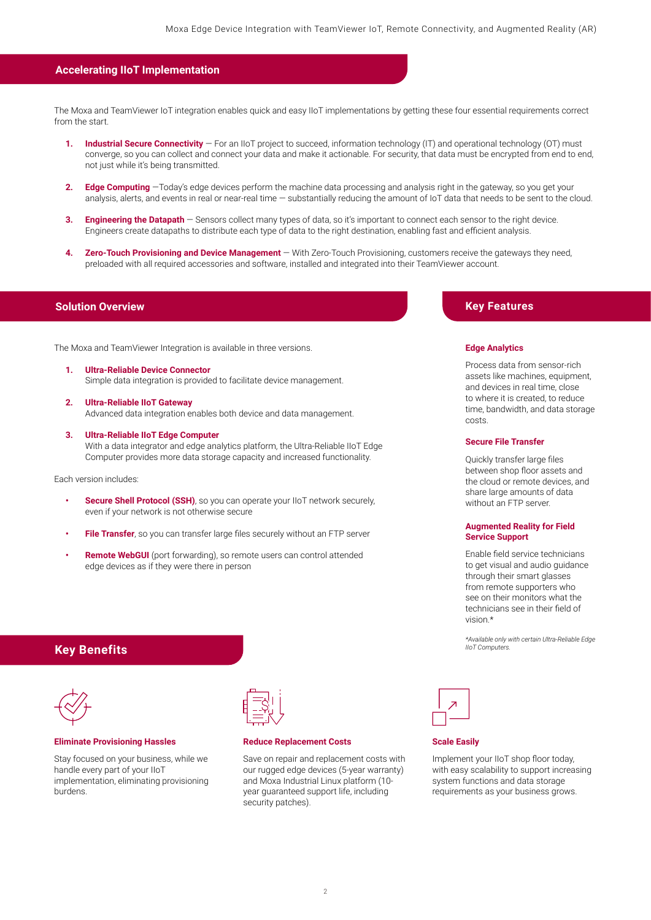# **Accelerating IIoT Implementation**

The Moxa and TeamViewer IoT integration enables quick and easy IIoT implementations by getting these four essential requirements correct from the start.

- 1. **Industrial Secure Connectivity** For an IIoT project to succeed, information technology (IT) and operational technology (OT) must converge, so you can collect and connect your data and make it actionable. For security, that data must be encrypted from end to end, not just while it's being transmitted.
- **2. Edge Computing** —Today's edge devices perform the machine data processing and analysis right in the gateway, so you get your analysis, alerts, and events in real or near-real time — substantially reducing the amount of IoT data that needs to be sent to the cloud.
- **3. Engineering the Datapath** Sensors collect many types of data, so it's important to connect each sensor to the right device. Engineers create datapaths to distribute each type of data to the right destination, enabling fast and efficient analysis.
- **4. Zero-Touch Provisioning and Device Management** With Zero-Touch Provisioning, customers receive the gateways they need, preloaded with all required accessories and software, installed and integrated into their TeamViewer account.

The Moxa and TeamViewer Integration is available in three versions.

- **1. Ultra-Reliable Device Connector** Simple data integration is provided to facilitate device management.
- **2. Ultra-Reliable IIoT Gateway** Advanced data integration enables both device and data management.
- **3. Ultra-Reliable IIoT Edge Computer** With a data integrator and edge analytics platform, the Ultra-Reliable IIoT Edge Computer provides more data storage capacity and increased functionality.

Each version includes:

- **•• Secure Shell Protocol (SSH)**, so you can operate your IIoT network securely, even if your network is not otherwise secure
- **• File Transfer**, so you can transfer large files securely without an FTP server
- **• Remote WebGUI** (port forwarding), so remote users can control attended edge devices as if they were there in person

# **Solution Overview Key Features** And the Control of the Control of the Control of the Key Features

#### **Edge Analytics**

Process data from sensor-rich assets like machines, equipment, and devices in real time, close to where it is created, to reduce time, bandwidth, and data storage costs.

## **Secure File Transfer**

Quickly transfer large files between shop floor assets and the cloud or remote devices, and share large amounts of data without an FTP server.

## **Augmented Reality for Field Service Support**

Enable field service technicians to get visual and audio guidance through their smart glasses from remote supporters who see on their monitors what the technicians see in their field of vision.\*

*\*Available only with certain Ultra-Reliable Edge* 



#### **Scale Easily**

Implement your IIoT shop floor today, with easy scalability to support increasing system functions and data storage requirements as your business grows.

# *IIoT Computers.* **Key Benefits**



### **Eliminate Provisioning Hassles**

Stay focused on your business, while we handle every part of your IIoT implementation, eliminating provisioning burdens.

# **Reduce Replacement Costs**

Save on repair and replacement costs with our rugged edge devices (5-year warranty) and Moxa Industrial Linux platform (10 year guaranteed support life, including security patches).